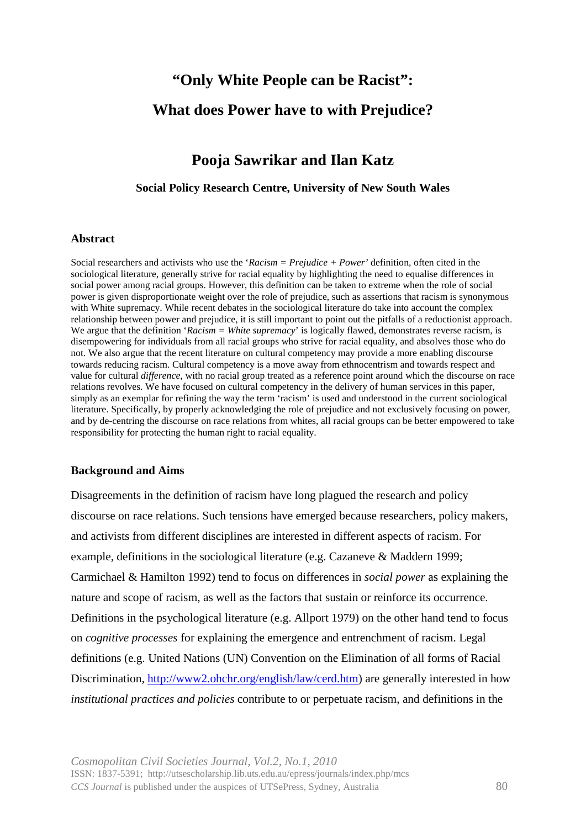# **"Only White People can be Racist": What does Power have to with Prejudice?**

# **Pooja Sawrikar and Ilan Katz**

# **Social Policy Research Centre, University of New South Wales**

#### **Abstract**

Social researchers and activists who use the '*Racism = Prejudice + Power'* definition, often cited in the sociological literature, generally strive for racial equality by highlighting the need to equalise differences in social power among racial groups. However, this definition can be taken to extreme when the role of social power is given disproportionate weight over the role of prejudice, such as assertions that racism is synonymous with White supremacy. While recent debates in the sociological literature do take into account the complex relationship between power and prejudice, it is still important to point out the pitfalls of a reductionist approach. We argue that the definition '*Racism = White supremacy*' is logically flawed, demonstrates reverse racism, is disempowering for individuals from all racial groups who strive for racial equality, and absolves those who do not. We also argue that the recent literature on cultural competency may provide a more enabling discourse towards reducing racism. Cultural competency is a move away from ethnocentrism and towards respect and value for cultural *difference*, with no racial group treated as a reference point around which the discourse on race relations revolves. We have focused on cultural competency in the delivery of human services in this paper, simply as an exemplar for refining the way the term 'racism' is used and understood in the current sociological literature. Specifically, by properly acknowledging the role of prejudice and not exclusively focusing on power, and by de-centring the discourse on race relations from whites, all racial groups can be better empowered to take responsibility for protecting the human right to racial equality.

## **Background and Aims**

Disagreements in the definition of racism have long plagued the research and policy discourse on race relations. Such tensions have emerged because researchers, policy makers, and activists from different disciplines are interested in different aspects of racism. For example, definitions in the sociological literature (e.g. Cazaneve & Maddern 1999; Carmichael & Hamilton 1992) tend to focus on differences in *social power* as explaining the nature and scope of racism, as well as the factors that sustain or reinforce its occurrence. Definitions in the psychological literature (e.g. Allport 1979) on the other hand tend to focus on *cognitive processes* for explaining the emergence and entrenchment of racism. Legal definitions (e.g. United Nations (UN) Convention on the Elimination of all forms of Racial Discrimination, [http://www2.ohchr.org/english/law/cerd.htm\)](http://www2.ohchr.org/english/law/cerd.htm) are generally interested in how *institutional practices and policies* contribute to or perpetuate racism, and definitions in the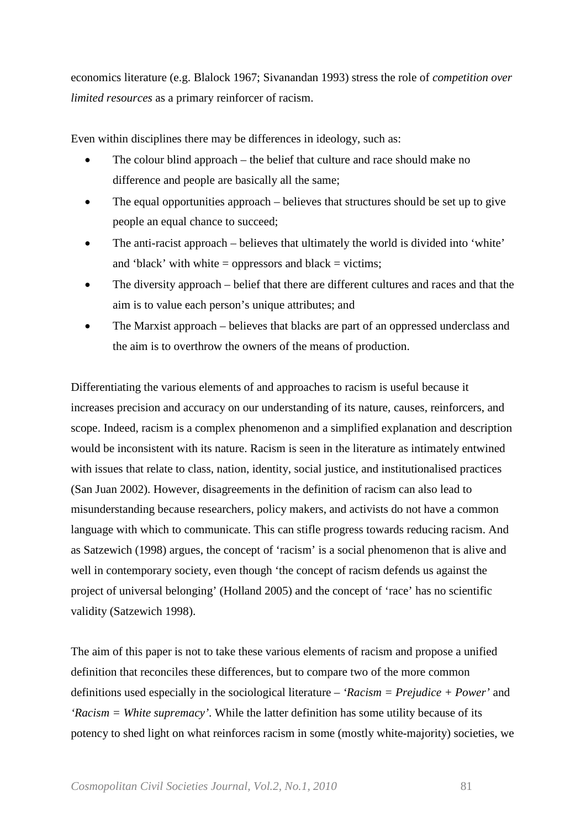economics literature (e.g. Blalock 1967; Sivanandan 1993) stress the role of *competition over limited resources* as a primary reinforcer of racism.

Even within disciplines there may be differences in ideology, such as:

- The colour blind approach the belief that culture and race should make no difference and people are basically all the same;
- The equal opportunities approach believes that structures should be set up to give people an equal chance to succeed;
- The anti-racist approach believes that ultimately the world is divided into 'white' and 'black' with white  $=$  oppressors and black  $=$  victims;
- The diversity approach belief that there are different cultures and races and that the aim is to value each person's unique attributes; and
- The Marxist approach believes that blacks are part of an oppressed underclass and the aim is to overthrow the owners of the means of production.

Differentiating the various elements of and approaches to racism is useful because it increases precision and accuracy on our understanding of its nature, causes, reinforcers, and scope. Indeed, racism is a complex phenomenon and a simplified explanation and description would be inconsistent with its nature. Racism is seen in the literature as intimately entwined with issues that relate to class, nation, identity, social justice, and institutionalised practices (San Juan 2002). However, disagreements in the definition of racism can also lead to misunderstanding because researchers, policy makers, and activists do not have a common language with which to communicate. This can stifle progress towards reducing racism. And as Satzewich (1998) argues, the concept of 'racism' is a social phenomenon that is alive and well in contemporary society, even though 'the concept of racism defends us against the project of universal belonging' (Holland 2005) and the concept of 'race' has no scientific validity (Satzewich 1998).

The aim of this paper is not to take these various elements of racism and propose a unified definition that reconciles these differences, but to compare two of the more common definitions used especially in the sociological literature – *'Racism = Prejudice + Power'* and *'Racism = White supremacy'*. While the latter definition has some utility because of its potency to shed light on what reinforces racism in some (mostly white-majority) societies, we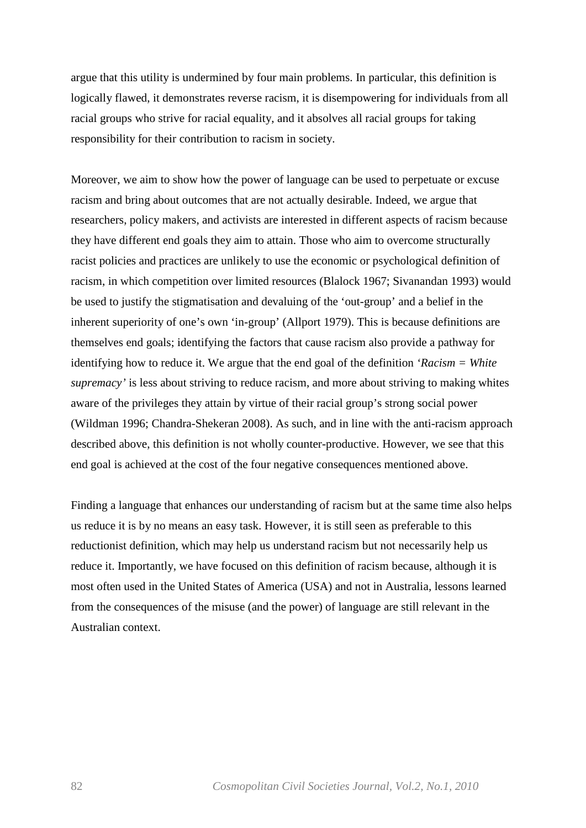argue that this utility is undermined by four main problems. In particular, this definition is logically flawed, it demonstrates reverse racism, it is disempowering for individuals from all racial groups who strive for racial equality, and it absolves all racial groups for taking responsibility for their contribution to racism in society.

Moreover, we aim to show how the power of language can be used to perpetuate or excuse racism and bring about outcomes that are not actually desirable. Indeed, we argue that researchers, policy makers, and activists are interested in different aspects of racism because they have different end goals they aim to attain. Those who aim to overcome structurally racist policies and practices are unlikely to use the economic or psychological definition of racism, in which competition over limited resources (Blalock 1967; Sivanandan 1993) would be used to justify the stigmatisation and devaluing of the 'out-group' and a belief in the inherent superiority of one's own 'in-group' (Allport 1979). This is because definitions are themselves end goals; identifying the factors that cause racism also provide a pathway for identifying how to reduce it. We argue that the end goal of the definition *'Racism = White supremacy'* is less about striving to reduce racism, and more about striving to making whites aware of the privileges they attain by virtue of their racial group's strong social power (Wildman 1996; Chandra-Shekeran 2008). As such, and in line with the anti-racism approach described above, this definition is not wholly counter-productive. However, we see that this end goal is achieved at the cost of the four negative consequences mentioned above.

Finding a language that enhances our understanding of racism but at the same time also helps us reduce it is by no means an easy task. However, it is still seen as preferable to this reductionist definition, which may help us understand racism but not necessarily help us reduce it. Importantly, we have focused on this definition of racism because, although it is most often used in the United States of America (USA) and not in Australia, lessons learned from the consequences of the misuse (and the power) of language are still relevant in the Australian context.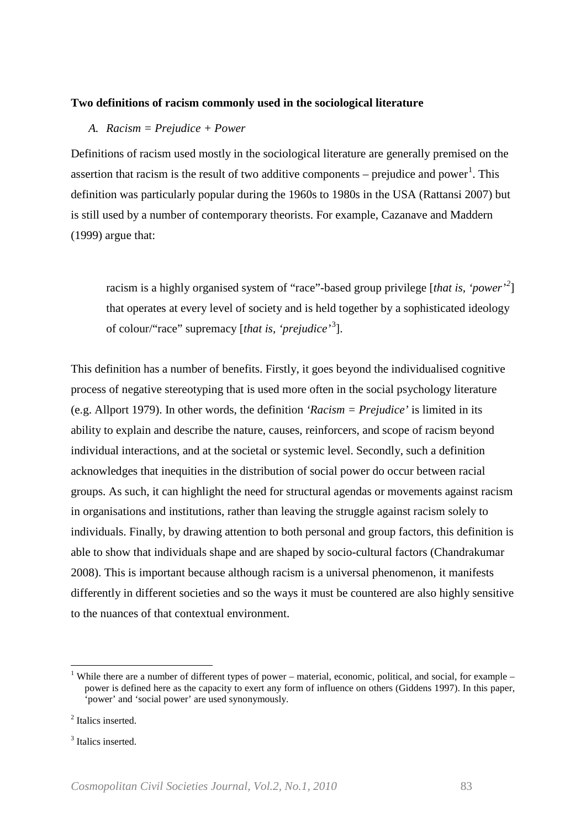### **Two definitions of racism commonly used in the sociological literature**

# *A. Racism = Prejudice + Power*

Definitions of racism used mostly in the sociological literature are generally premised on the assertion that racism is the result of two additive components  $-$  prejudice and power<sup>[1](#page-3-0)</sup>. This definition was particularly popular during the 1960s to 1980s in the USA (Rattansi 2007) but is still used by a number of contemporary theorists. For example, Cazanave and Maddern (1999) argue that:

racism is a highly organised system of "race"-based group privilege [that is, 'power'<sup>[2](#page-3-1)</sup>] that operates at every level of society and is held together by a sophisticated ideology of colour/"race" supremacy [*that is, 'prejudice'*[3](#page-3-2) ].

This definition has a number of benefits. Firstly, it goes beyond the individualised cognitive process of negative stereotyping that is used more often in the social psychology literature (e.g. Allport 1979). In other words, the definition *'Racism = Prejudice'* is limited in its ability to explain and describe the nature, causes, reinforcers, and scope of racism beyond individual interactions, and at the societal or systemic level. Secondly, such a definition acknowledges that inequities in the distribution of social power do occur between racial groups. As such, it can highlight the need for structural agendas or movements against racism in organisations and institutions, rather than leaving the struggle against racism solely to individuals. Finally, by drawing attention to both personal and group factors, this definition is able to show that individuals shape and are shaped by socio-cultural factors (Chandrakumar 2008). This is important because although racism is a universal phenomenon, it manifests differently in different societies and so the ways it must be countered are also highly sensitive to the nuances of that contextual environment.

<span id="page-3-0"></span><sup>&</sup>lt;sup>1</sup> While there are a number of different types of power – material, economic, political, and social, for example – power is defined here as the capacity to exert any form of influence on others (Giddens 1997). In this paper, 'power' and 'social power' are used synonymously.

<span id="page-3-1"></span><sup>&</sup>lt;sup>2</sup> Italics inserted.

<span id="page-3-2"></span><sup>3</sup> Italics inserted.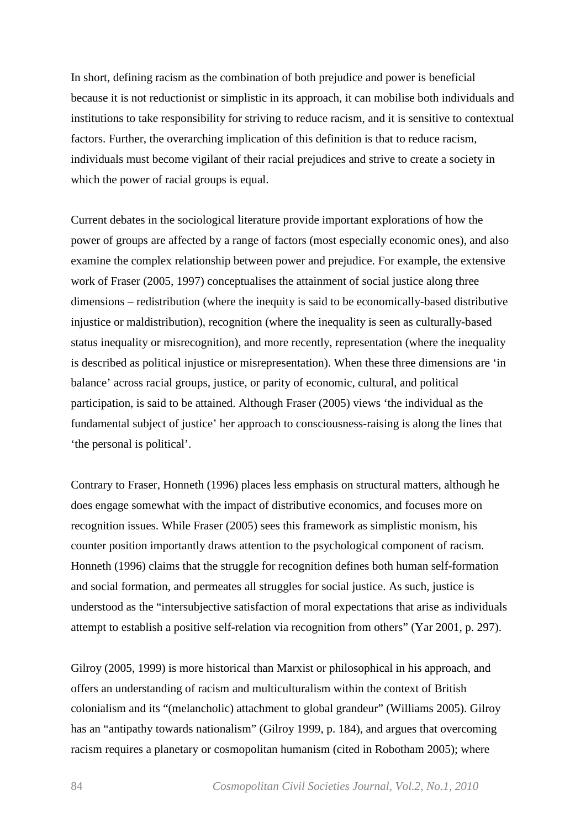In short, defining racism as the combination of both prejudice and power is beneficial because it is not reductionist or simplistic in its approach, it can mobilise both individuals and institutions to take responsibility for striving to reduce racism, and it is sensitive to contextual factors. Further, the overarching implication of this definition is that to reduce racism, individuals must become vigilant of their racial prejudices and strive to create a society in which the power of racial groups is equal.

Current debates in the sociological literature provide important explorations of how the power of groups are affected by a range of factors (most especially economic ones), and also examine the complex relationship between power and prejudice. For example, the extensive work of Fraser (2005, 1997) conceptualises the attainment of social justice along three dimensions – redistribution (where the inequity is said to be economically-based distributive injustice or maldistribution), recognition (where the inequality is seen as culturally-based status inequality or misrecognition), and more recently, representation (where the inequality is described as political injustice or misrepresentation). When these three dimensions are 'in balance' across racial groups, justice, or parity of economic, cultural, and political participation, is said to be attained. Although Fraser (2005) views 'the individual as the fundamental subject of justice' her approach to consciousness-raising is along the lines that 'the personal is political'.

Contrary to Fraser, Honneth (1996) places less emphasis on structural matters, although he does engage somewhat with the impact of distributive economics, and focuses more on recognition issues. While Fraser (2005) sees this framework as simplistic monism, his counter position importantly draws attention to the psychological component of racism. Honneth (1996) claims that the struggle for recognition defines both human self-formation and social formation, and permeates all struggles for social justice. As such, justice is understood as the "intersubjective satisfaction of moral expectations that arise as individuals attempt to establish a positive self-relation via recognition from others" (Yar 2001, p. 297).

Gilroy (2005, 1999) is more historical than Marxist or philosophical in his approach, and offers an understanding of racism and multiculturalism within the context of British colonialism and its "(melancholic) attachment to global grandeur" (Williams 2005). Gilroy has an "antipathy towards nationalism" (Gilroy 1999, p. 184), and argues that overcoming racism requires a planetary or cosmopolitan humanism (cited in Robotham 2005); where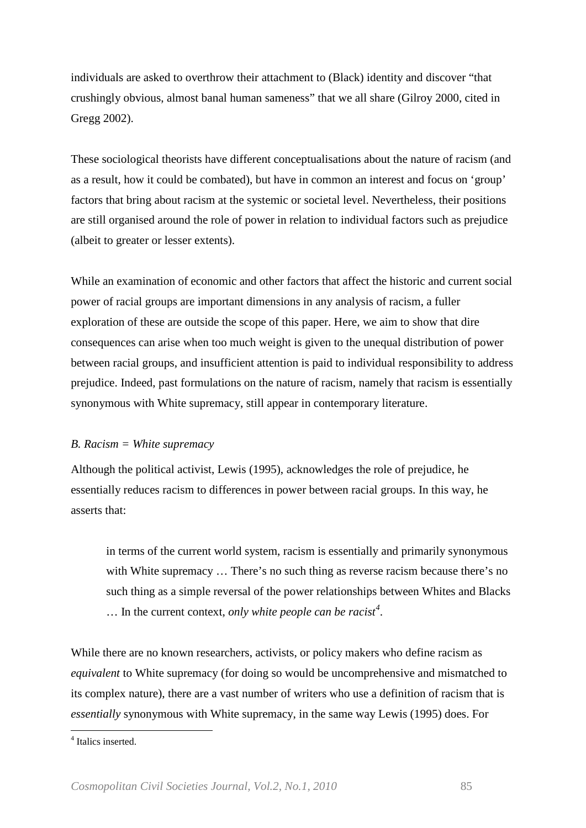individuals are asked to overthrow their attachment to (Black) identity and discover "that crushingly obvious, almost banal human sameness" that we all share (Gilroy 2000, cited in Gregg 2002).

These sociological theorists have different conceptualisations about the nature of racism (and as a result, how it could be combated), but have in common an interest and focus on 'group' factors that bring about racism at the systemic or societal level. Nevertheless, their positions are still organised around the role of power in relation to individual factors such as prejudice (albeit to greater or lesser extents).

While an examination of economic and other factors that affect the historic and current social power of racial groups are important dimensions in any analysis of racism, a fuller exploration of these are outside the scope of this paper. Here, we aim to show that dire consequences can arise when too much weight is given to the unequal distribution of power between racial groups, and insufficient attention is paid to individual responsibility to address prejudice. Indeed, past formulations on the nature of racism, namely that racism is essentially synonymous with White supremacy, still appear in contemporary literature.

# *B. Racism = White supremacy*

Although the political activist, Lewis (1995), acknowledges the role of prejudice, he essentially reduces racism to differences in power between racial groups. In this way, he asserts that:

in terms of the current world system, racism is essentially and primarily synonymous with White supremacy … There's no such thing as reverse racism because there's no such thing as a simple reversal of the power relationships between Whites and Blacks … In the current context, *only white people can be racist[4](#page-5-0)* .

While there are no known researchers, activists, or policy makers who define racism as *equivalent* to White supremacy (for doing so would be uncomprehensive and mismatched to its complex nature), there are a vast number of writers who use a definition of racism that is *essentially* synonymous with White supremacy, in the same way Lewis (1995) does. For

<span id="page-5-0"></span> <sup>4</sup> Italics inserted.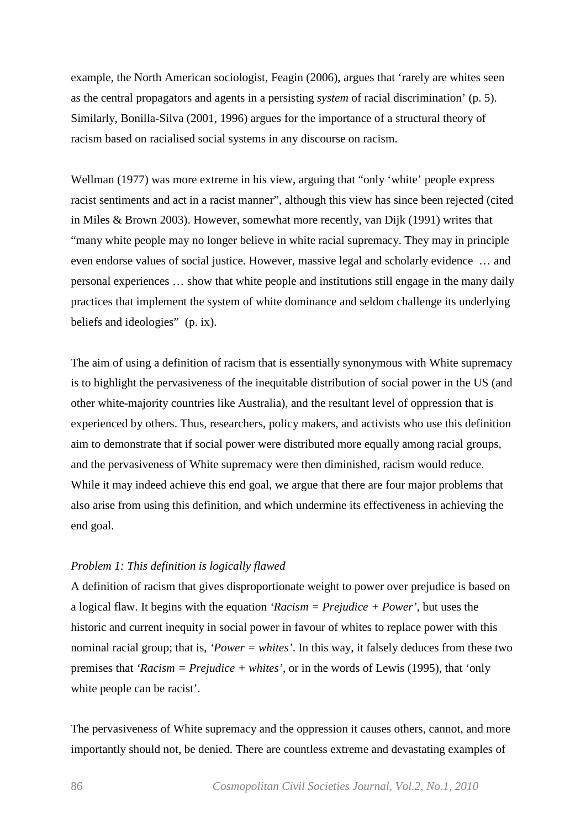example, the North American sociologist, Feagin (2006), argues that 'rarely are whites seen as the central propagators and agents in a persisting *system* of racial discrimination' (p. 5). Similarly, Bonilla-Silva (2001, 1996) argues for the importance of a structural theory of racism based on racialised social systems in any discourse on racism.

Wellman (1977) was more extreme in his view, arguing that "only 'white' people express racist sentiments and act in a racist manner", although this view has since been rejected (cited in Miles & Brown 2003). However, somewhat more recently, van Dijk (1991) writes that "many white people may no longer believe in white racial supremacy. They may in principle even endorse values of social justice. However, massive legal and scholarly evidence … and personal experiences … show that white people and institutions still engage in the many daily practices that implement the system of white dominance and seldom challenge its underlying beliefs and ideologies" (p. ix).

The aim of using a definition of racism that is essentially synonymous with White supremacy is to highlight the pervasiveness of the inequitable distribution of social power in the US (and other white-majority countries like Australia), and the resultant level of oppression that is experienced by others. Thus, researchers, policy makers, and activists who use this definition aim to demonstrate that if social power were distributed more equally among racial groups, and the pervasiveness of White supremacy were then diminished, racism would reduce. While it may indeed achieve this end goal, we argue that there are four major problems that also arise from using this definition, and which undermine its effectiveness in achieving the end goal.

# *Problem 1: This definition is logically flawed*

A definition of racism that gives disproportionate weight to power over prejudice is based on a logical flaw. It begins with the equation *'Racism = Prejudice + Power'*, but uses the historic and current inequity in social power in favour of whites to replace power with this nominal racial group; that is, *'Power* = *whites'*. In this way, it falsely deduces from these two premises that *'Racism = Prejudice + whites'*, or in the words of Lewis (1995), that 'only white people can be racist'.

The pervasiveness of White supremacy and the oppression it causes others, cannot, and more importantly should not, be denied. There are countless extreme and devastating examples of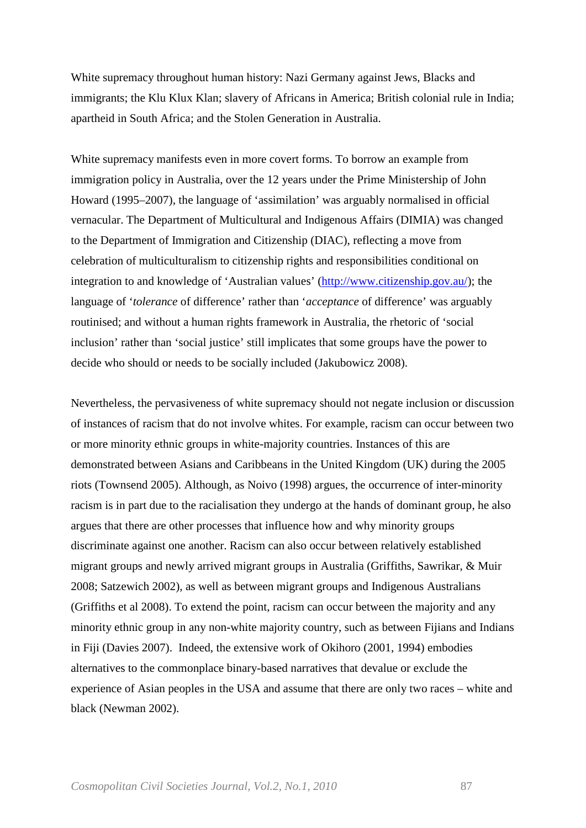White supremacy throughout human history: Nazi Germany against Jews, Blacks and immigrants; the Klu Klux Klan; slavery of Africans in America; British colonial rule in India; apartheid in South Africa; and the Stolen Generation in Australia.

White supremacy manifests even in more covert forms. To borrow an example from immigration policy in Australia, over the 12 years under the Prime Ministership of John Howard (1995–2007), the language of 'assimilation' was arguably normalised in official vernacular. The Department of Multicultural and Indigenous Affairs (DIMIA) was changed to the Department of Immigration and Citizenship (DIAC), reflecting a move from celebration of multiculturalism to citizenship rights and responsibilities conditional on integration to and knowledge of 'Australian values' [\(http://www.citizenship.gov.au/\)](http://www.citizenship.gov.au/); the language of '*tolerance* of difference' rather than '*acceptance* of difference' was arguably routinised; and without a human rights framework in Australia, the rhetoric of 'social inclusion' rather than 'social justice' still implicates that some groups have the power to decide who should or needs to be socially included (Jakubowicz 2008).

Nevertheless, the pervasiveness of white supremacy should not negate inclusion or discussion of instances of racism that do not involve whites. For example, racism can occur between two or more minority ethnic groups in white-majority countries. Instances of this are demonstrated between Asians and Caribbeans in the United Kingdom (UK) during the 2005 riots (Townsend 2005). Although, as Noivo (1998) argues, the occurrence of inter-minority racism is in part due to the racialisation they undergo at the hands of dominant group, he also argues that there are other processes that influence how and why minority groups discriminate against one another. Racism can also occur between relatively established migrant groups and newly arrived migrant groups in Australia (Griffiths, Sawrikar, & Muir 2008; Satzewich 2002), as well as between migrant groups and Indigenous Australians (Griffiths et al 2008). To extend the point, racism can occur between the majority and any minority ethnic group in any non-white majority country, such as between Fijians and Indians in Fiji (Davies 2007). Indeed, the extensive work of Okihoro (2001, 1994) embodies alternatives to the commonplace binary-based narratives that devalue or exclude the experience of Asian peoples in the USA and assume that there are only two races – white and black (Newman 2002).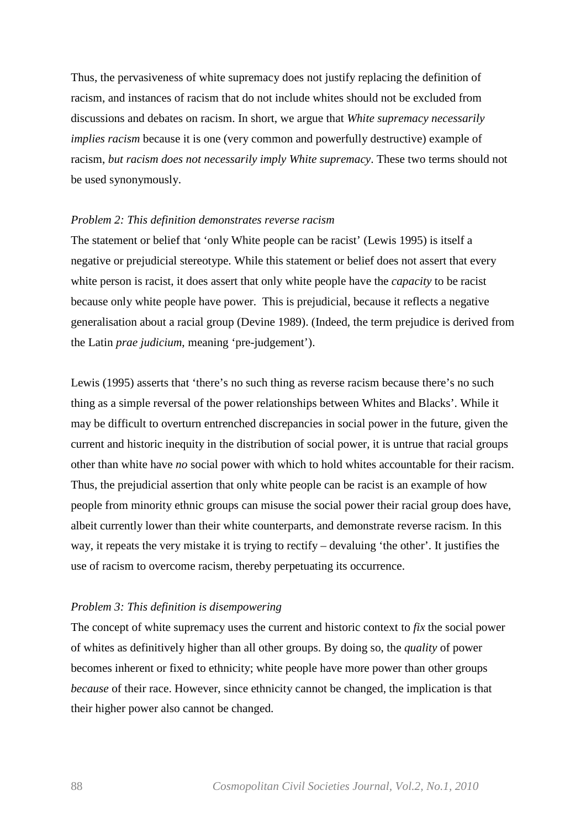Thus, the pervasiveness of white supremacy does not justify replacing the definition of racism, and instances of racism that do not include whites should not be excluded from discussions and debates on racism. In short, we argue that *White supremacy necessarily implies racism* because it is one (very common and powerfully destructive) example of racism, *but racism does not necessarily imply White supremacy*. These two terms should not be used synonymously.

#### *Problem 2: This definition demonstrates reverse racism*

The statement or belief that 'only White people can be racist' (Lewis 1995) is itself a negative or prejudicial stereotype. While this statement or belief does not assert that every white person is racist, it does assert that only white people have the *capacity* to be racist because only white people have power. This is prejudicial, because it reflects a negative generalisation about a racial group (Devine 1989). (Indeed, the term prejudice is derived from the Latin *prae judicium*, meaning 'pre-judgement').

Lewis (1995) asserts that 'there's no such thing as reverse racism because there's no such thing as a simple reversal of the power relationships between Whites and Blacks'. While it may be difficult to overturn entrenched discrepancies in social power in the future, given the current and historic inequity in the distribution of social power, it is untrue that racial groups other than white have *no* social power with which to hold whites accountable for their racism. Thus, the prejudicial assertion that only white people can be racist is an example of how people from minority ethnic groups can misuse the social power their racial group does have, albeit currently lower than their white counterparts, and demonstrate reverse racism. In this way, it repeats the very mistake it is trying to rectify – devaluing 'the other'. It justifies the use of racism to overcome racism, thereby perpetuating its occurrence.

#### *Problem 3: This definition is disempowering*

The concept of white supremacy uses the current and historic context to *fix* the social power of whites as definitively higher than all other groups. By doing so, the *quality* of power becomes inherent or fixed to ethnicity; white people have more power than other groups *because* of their race. However, since ethnicity cannot be changed, the implication is that their higher power also cannot be changed.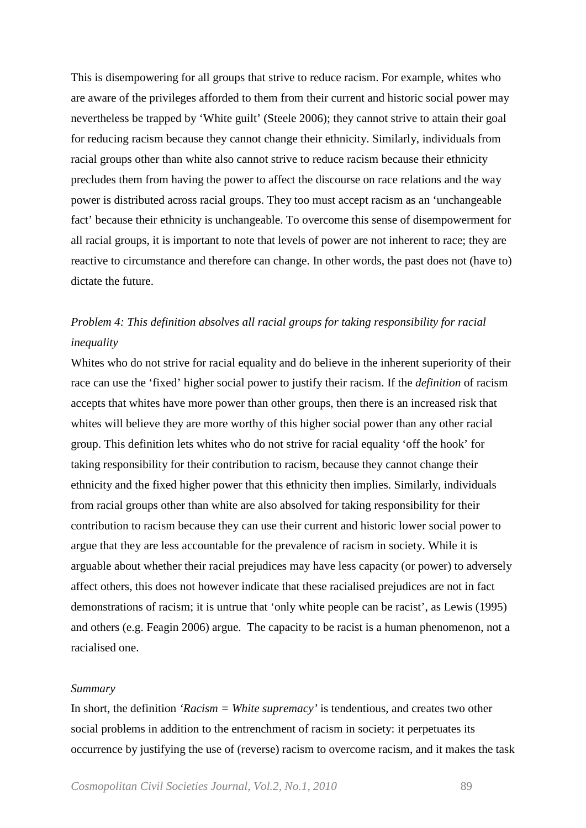This is disempowering for all groups that strive to reduce racism. For example, whites who are aware of the privileges afforded to them from their current and historic social power may nevertheless be trapped by 'White guilt' (Steele 2006); they cannot strive to attain their goal for reducing racism because they cannot change their ethnicity. Similarly, individuals from racial groups other than white also cannot strive to reduce racism because their ethnicity precludes them from having the power to affect the discourse on race relations and the way power is distributed across racial groups. They too must accept racism as an 'unchangeable fact' because their ethnicity is unchangeable. To overcome this sense of disempowerment for all racial groups, it is important to note that levels of power are not inherent to race; they are reactive to circumstance and therefore can change. In other words, the past does not (have to) dictate the future.

# *Problem 4: This definition absolves all racial groups for taking responsibility for racial inequality*

Whites who do not strive for racial equality and do believe in the inherent superiority of their race can use the 'fixed' higher social power to justify their racism. If the *definition* of racism accepts that whites have more power than other groups, then there is an increased risk that whites will believe they are more worthy of this higher social power than any other racial group. This definition lets whites who do not strive for racial equality 'off the hook' for taking responsibility for their contribution to racism, because they cannot change their ethnicity and the fixed higher power that this ethnicity then implies. Similarly, individuals from racial groups other than white are also absolved for taking responsibility for their contribution to racism because they can use their current and historic lower social power to argue that they are less accountable for the prevalence of racism in society. While it is arguable about whether their racial prejudices may have less capacity (or power) to adversely affect others, this does not however indicate that these racialised prejudices are not in fact demonstrations of racism; it is untrue that 'only white people can be racist', as Lewis (1995) and others (e.g. Feagin 2006) argue. The capacity to be racist is a human phenomenon, not a racialised one.

#### *Summary*

In short, the definition *'Racism = White supremacy'* is tendentious, and creates two other social problems in addition to the entrenchment of racism in society: it perpetuates its occurrence by justifying the use of (reverse) racism to overcome racism, and it makes the task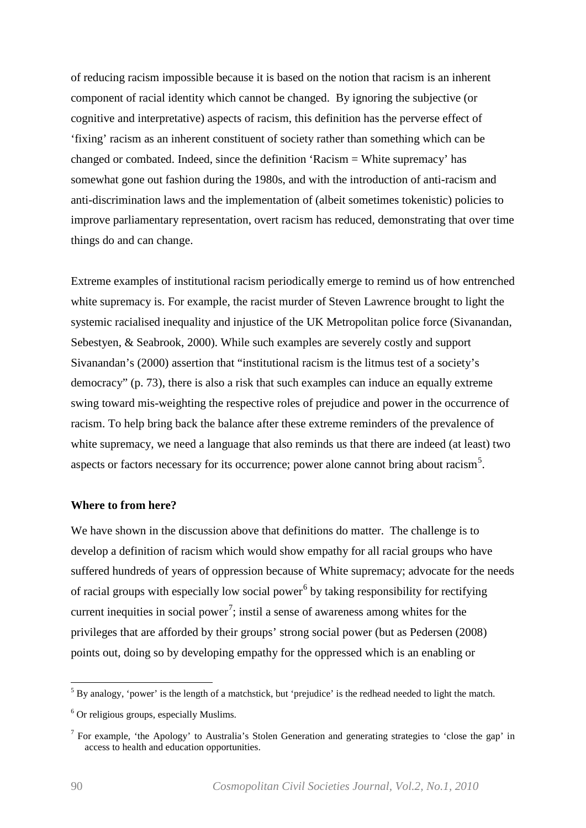of reducing racism impossible because it is based on the notion that racism is an inherent component of racial identity which cannot be changed. By ignoring the subjective (or cognitive and interpretative) aspects of racism, this definition has the perverse effect of 'fixing' racism as an inherent constituent of society rather than something which can be changed or combated. Indeed, since the definition 'Racism = White supremacy' has somewhat gone out fashion during the 1980s, and with the introduction of anti-racism and anti-discrimination laws and the implementation of (albeit sometimes tokenistic) policies to improve parliamentary representation, overt racism has reduced, demonstrating that over time things do and can change.

Extreme examples of institutional racism periodically emerge to remind us of how entrenched white supremacy is. For example, the racist murder of Steven Lawrence brought to light the systemic racialised inequality and injustice of the UK Metropolitan police force (Sivanandan, Sebestyen, & Seabrook, 2000). While such examples are severely costly and support Sivanandan's (2000) assertion that "institutional racism is the litmus test of a society's democracy" (p. 73), there is also a risk that such examples can induce an equally extreme swing toward mis-weighting the respective roles of prejudice and power in the occurrence of racism. To help bring back the balance after these extreme reminders of the prevalence of white supremacy, we need a language that also reminds us that there are indeed (at least) two aspects or factors necessary for its occurrence; power alone cannot bring about racism<sup>[5](#page-10-0)</sup>.

#### **Where to from here?**

We have shown in the discussion above that definitions do matter. The challenge is to develop a definition of racism which would show empathy for all racial groups who have suffered hundreds of years of oppression because of White supremacy; advocate for the needs of racial groups with especially low social power<sup>[6](#page-10-1)</sup> by taking responsibility for rectifying current inequities in social power<sup>[7](#page-10-2)</sup>; instil a sense of awareness among whites for the privileges that are afforded by their groups' strong social power (but as Pedersen (2008) points out, doing so by developing empathy for the oppressed which is an enabling or

<span id="page-10-0"></span><sup>&</sup>lt;sup>5</sup> By analogy, 'power' is the length of a matchstick, but 'prejudice' is the redhead needed to light the match.

<span id="page-10-1"></span> $6$  Or religious groups, especially Muslims.

<span id="page-10-2"></span><sup>&</sup>lt;sup>7</sup> For example, 'the Apology' to Australia's Stolen Generation and generating strategies to 'close the gap' in access to health and education opportunities.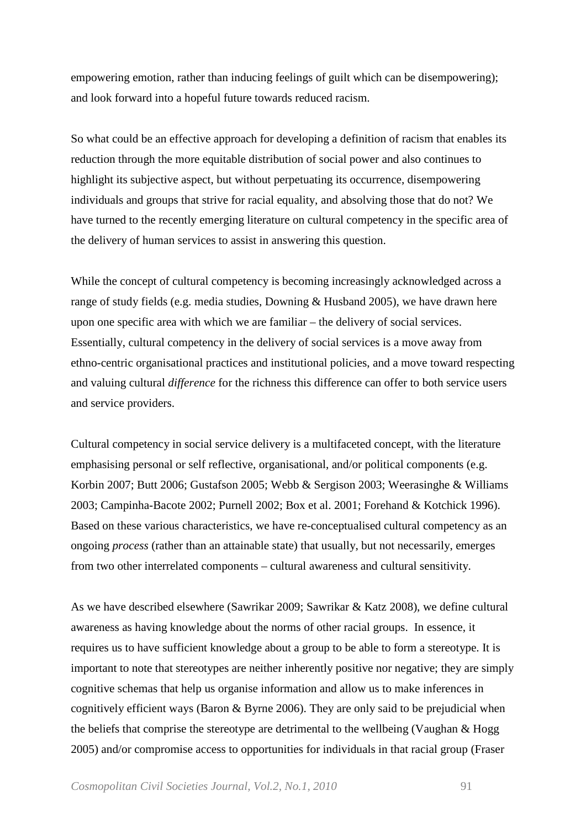empowering emotion, rather than inducing feelings of guilt which can be disempowering); and look forward into a hopeful future towards reduced racism.

So what could be an effective approach for developing a definition of racism that enables its reduction through the more equitable distribution of social power and also continues to highlight its subjective aspect, but without perpetuating its occurrence, disempowering individuals and groups that strive for racial equality, and absolving those that do not? We have turned to the recently emerging literature on cultural competency in the specific area of the delivery of human services to assist in answering this question.

While the concept of cultural competency is becoming increasingly acknowledged across a range of study fields (e.g. media studies, Downing & Husband 2005), we have drawn here upon one specific area with which we are familiar – the delivery of social services. Essentially, cultural competency in the delivery of social services is a move away from ethno-centric organisational practices and institutional policies, and a move toward respecting and valuing cultural *difference* for the richness this difference can offer to both service users and service providers.

Cultural competency in social service delivery is a multifaceted concept, with the literature emphasising personal or self reflective, organisational, and/or political components (e.g. Korbin 2007; Butt 2006; Gustafson 2005; Webb & Sergison 2003; Weerasinghe & Williams 2003; Campinha-Bacote 2002; Purnell 2002; Box et al. 2001; Forehand & Kotchick 1996). Based on these various characteristics, we have re-conceptualised cultural competency as an ongoing *process* (rather than an attainable state) that usually, but not necessarily, emerges from two other interrelated components – cultural awareness and cultural sensitivity.

As we have described elsewhere (Sawrikar 2009; Sawrikar & Katz 2008), we define cultural awareness as having knowledge about the norms of other racial groups. In essence, it requires us to have sufficient knowledge about a group to be able to form a stereotype. It is important to note that stereotypes are neither inherently positive nor negative; they are simply cognitive schemas that help us organise information and allow us to make inferences in cognitively efficient ways (Baron & Byrne 2006). They are only said to be prejudicial when the beliefs that comprise the stereotype are detrimental to the wellbeing (Vaughan & Hogg 2005) and/or compromise access to opportunities for individuals in that racial group (Fraser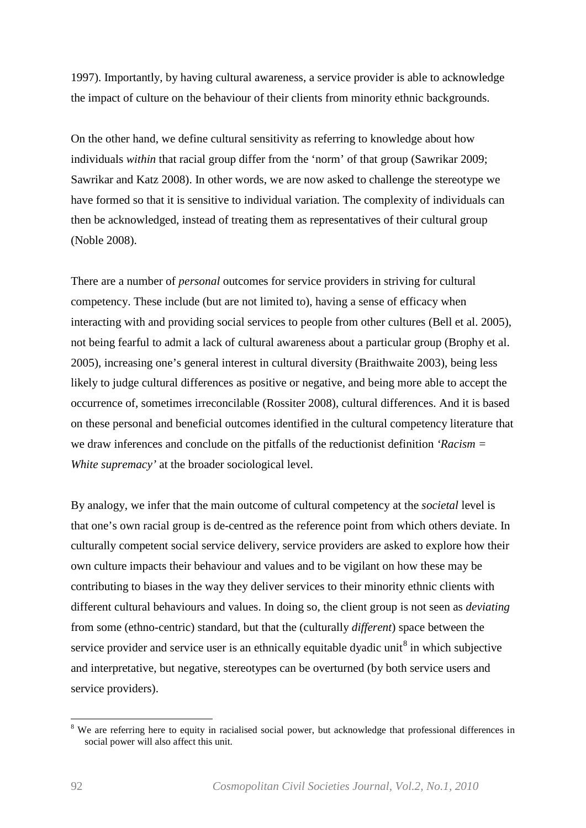1997). Importantly, by having cultural awareness, a service provider is able to acknowledge the impact of culture on the behaviour of their clients from minority ethnic backgrounds.

On the other hand, we define cultural sensitivity as referring to knowledge about how individuals *within* that racial group differ from the 'norm' of that group (Sawrikar 2009; Sawrikar and Katz 2008). In other words, we are now asked to challenge the stereotype we have formed so that it is sensitive to individual variation. The complexity of individuals can then be acknowledged, instead of treating them as representatives of their cultural group (Noble 2008).

There are a number of *personal* outcomes for service providers in striving for cultural competency. These include (but are not limited to), having a sense of efficacy when interacting with and providing social services to people from other cultures (Bell et al. 2005), not being fearful to admit a lack of cultural awareness about a particular group (Brophy et al. 2005), increasing one's general interest in cultural diversity (Braithwaite 2003), being less likely to judge cultural differences as positive or negative, and being more able to accept the occurrence of, sometimes irreconcilable (Rossiter 2008), cultural differences. And it is based on these personal and beneficial outcomes identified in the cultural competency literature that we draw inferences and conclude on the pitfalls of the reductionist definition *'Racism = White supremacy'* at the broader sociological level.

By analogy, we infer that the main outcome of cultural competency at the *societal* level is that one's own racial group is de-centred as the reference point from which others deviate. In culturally competent social service delivery, service providers are asked to explore how their own culture impacts their behaviour and values and to be vigilant on how these may be contributing to biases in the way they deliver services to their minority ethnic clients with different cultural behaviours and values. In doing so, the client group is not seen as *deviating* from some (ethno-centric) standard, but that the (culturally *different*) space between the service provider and service user is an ethnically equitable dyadic unit<sup>[8](#page-12-0)</sup> in which subjective and interpretative, but negative, stereotypes can be overturned (by both service users and service providers).

<span id="page-12-0"></span><sup>&</sup>lt;sup>8</sup> We are referring here to equity in racialised social power, but acknowledge that professional differences in social power will also affect this unit.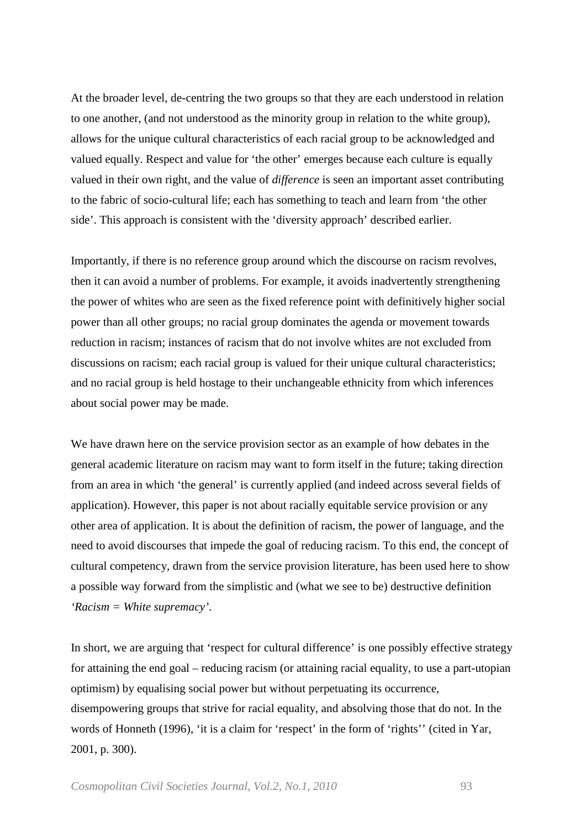At the broader level, de-centring the two groups so that they are each understood in relation to one another, (and not understood as the minority group in relation to the white group), allows for the unique cultural characteristics of each racial group to be acknowledged and valued equally. Respect and value for 'the other' emerges because each culture is equally valued in their own right, and the value of *difference* is seen an important asset contributing to the fabric of socio-cultural life; each has something to teach and learn from 'the other side'. This approach is consistent with the 'diversity approach' described earlier.

Importantly, if there is no reference group around which the discourse on racism revolves, then it can avoid a number of problems. For example, it avoids inadvertently strengthening the power of whites who are seen as the fixed reference point with definitively higher social power than all other groups; no racial group dominates the agenda or movement towards reduction in racism; instances of racism that do not involve whites are not excluded from discussions on racism; each racial group is valued for their unique cultural characteristics; and no racial group is held hostage to their unchangeable ethnicity from which inferences about social power may be made.

We have drawn here on the service provision sector as an example of how debates in the general academic literature on racism may want to form itself in the future; taking direction from an area in which 'the general' is currently applied (and indeed across several fields of application). However, this paper is not about racially equitable service provision or any other area of application. It is about the definition of racism, the power of language, and the need to avoid discourses that impede the goal of reducing racism. To this end, the concept of cultural competency, drawn from the service provision literature, has been used here to show a possible way forward from the simplistic and (what we see to be) destructive definition *'Racism = White supremacy'*.

In short, we are arguing that 'respect for cultural difference' is one possibly effective strategy for attaining the end goal – reducing racism (or attaining racial equality, to use a part-utopian optimism) by equalising social power but without perpetuating its occurrence, disempowering groups that strive for racial equality, and absolving those that do not. In the words of Honneth (1996), 'it is a claim for 'respect' in the form of 'rights'' (cited in Yar, 2001, p. 300).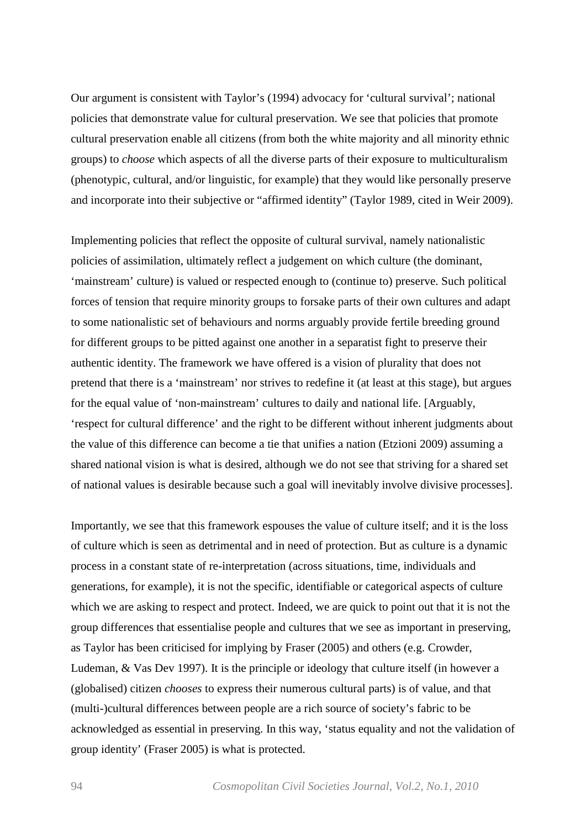Our argument is consistent with Taylor's (1994) advocacy for 'cultural survival'; national policies that demonstrate value for cultural preservation. We see that policies that promote cultural preservation enable all citizens (from both the white majority and all minority ethnic groups) to *choose* which aspects of all the diverse parts of their exposure to multiculturalism (phenotypic, cultural, and/or linguistic, for example) that they would like personally preserve and incorporate into their subjective or "affirmed identity" (Taylor 1989, cited in Weir 2009).

Implementing policies that reflect the opposite of cultural survival, namely nationalistic policies of assimilation, ultimately reflect a judgement on which culture (the dominant, 'mainstream' culture) is valued or respected enough to (continue to) preserve. Such political forces of tension that require minority groups to forsake parts of their own cultures and adapt to some nationalistic set of behaviours and norms arguably provide fertile breeding ground for different groups to be pitted against one another in a separatist fight to preserve their authentic identity. The framework we have offered is a vision of plurality that does not pretend that there is a 'mainstream' nor strives to redefine it (at least at this stage), but argues for the equal value of 'non-mainstream' cultures to daily and national life. [Arguably, 'respect for cultural difference' and the right to be different without inherent judgments about the value of this difference can become a tie that unifies a nation (Etzioni 2009) assuming a shared national vision is what is desired, although we do not see that striving for a shared set of national values is desirable because such a goal will inevitably involve divisive processes].

Importantly, we see that this framework espouses the value of culture itself; and it is the loss of culture which is seen as detrimental and in need of protection. But as culture is a dynamic process in a constant state of re-interpretation (across situations, time, individuals and generations, for example), it is not the specific, identifiable or categorical aspects of culture which we are asking to respect and protect. Indeed, we are quick to point out that it is not the group differences that essentialise people and cultures that we see as important in preserving, as Taylor has been criticised for implying by Fraser (2005) and others (e.g. Crowder, Ludeman, & Vas Dev 1997). It is the principle or ideology that culture itself (in however a (globalised) citizen *chooses* to express their numerous cultural parts) is of value, and that (multi-)cultural differences between people are a rich source of society's fabric to be acknowledged as essential in preserving. In this way, 'status equality and not the validation of group identity' (Fraser 2005) is what is protected.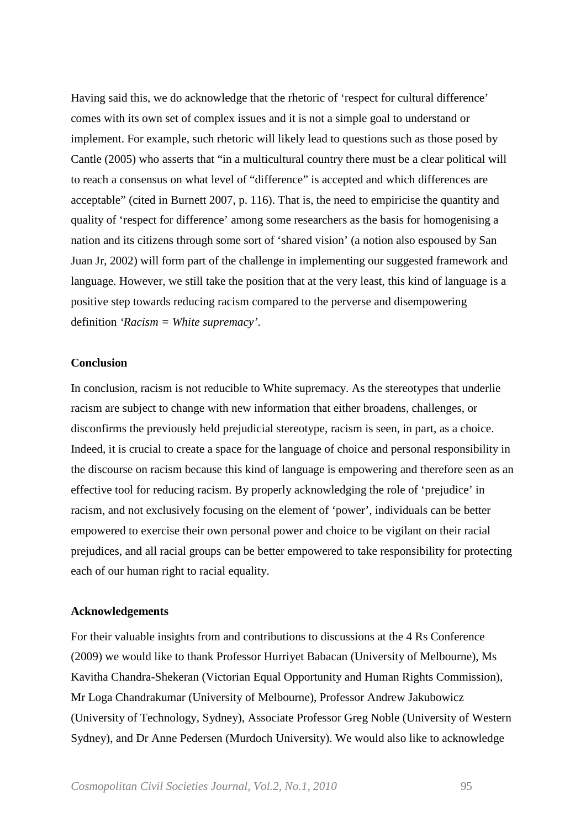Having said this, we do acknowledge that the rhetoric of 'respect for cultural difference' comes with its own set of complex issues and it is not a simple goal to understand or implement. For example, such rhetoric will likely lead to questions such as those posed by Cantle (2005) who asserts that "in a multicultural country there must be a clear political will to reach a consensus on what level of "difference" is accepted and which differences are acceptable" (cited in Burnett 2007, p. 116). That is, the need to empiricise the quantity and quality of 'respect for difference' among some researchers as the basis for homogenising a nation and its citizens through some sort of 'shared vision' (a notion also espoused by San Juan Jr, 2002) will form part of the challenge in implementing our suggested framework and language. However, we still take the position that at the very least, this kind of language is a positive step towards reducing racism compared to the perverse and disempowering definition *'Racism = White supremacy'*.

# **Conclusion**

In conclusion, racism is not reducible to White supremacy. As the stereotypes that underlie racism are subject to change with new information that either broadens, challenges, or disconfirms the previously held prejudicial stereotype, racism is seen, in part, as a choice. Indeed, it is crucial to create a space for the language of choice and personal responsibility in the discourse on racism because this kind of language is empowering and therefore seen as an effective tool for reducing racism. By properly acknowledging the role of 'prejudice' in racism, and not exclusively focusing on the element of 'power', individuals can be better empowered to exercise their own personal power and choice to be vigilant on their racial prejudices, and all racial groups can be better empowered to take responsibility for protecting each of our human right to racial equality.

### **Acknowledgements**

For their valuable insights from and contributions to discussions at the 4 Rs Conference (2009) we would like to thank Professor Hurriyet Babacan (University of Melbourne), Ms Kavitha Chandra-Shekeran (Victorian Equal Opportunity and Human Rights Commission), Mr Loga Chandrakumar (University of Melbourne), Professor Andrew Jakubowicz (University of Technology, Sydney), Associate Professor Greg Noble (University of Western Sydney), and Dr Anne Pedersen (Murdoch University). We would also like to acknowledge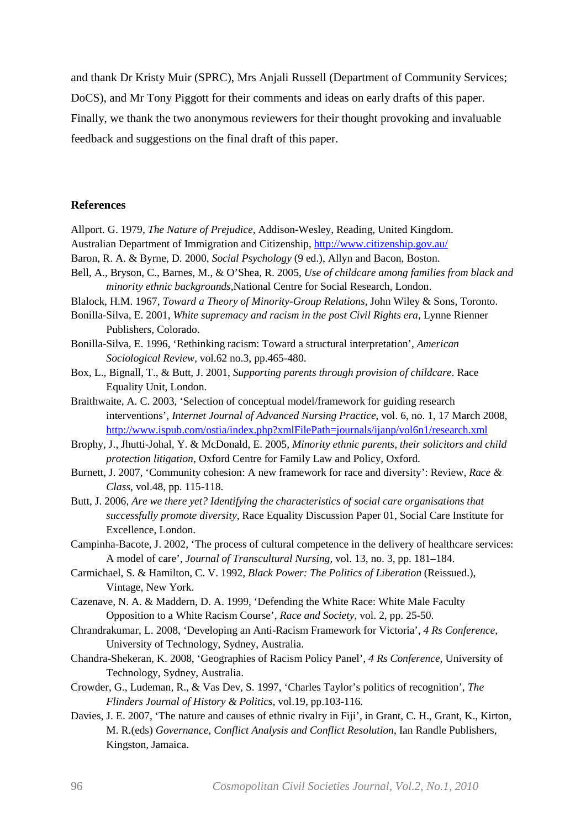and thank Dr Kristy Muir (SPRC), Mrs Anjali Russell (Department of Community Services;

DoCS), and Mr Tony Piggott for their comments and ideas on early drafts of this paper.

Finally, we thank the two anonymous reviewers for their thought provoking and invaluable feedback and suggestions on the final draft of this paper.

# **References**

- Allport. G. 1979, *The Nature of Prejudice*, Addison-Wesley, Reading, United Kingdom. Australian Department of Immigration and Citizenship,<http://www.citizenship.gov.au/>
- Baron, R. A. & Byrne, D. 2000, *Social Psychology* (9 ed.), Allyn and Bacon, Boston.
- Bell, A., Bryson, C., Barnes, M., & O'Shea, R. 2005, *Use of childcare among families from black and minority ethnic backgrounds*,National Centre for Social Research, London.
- Blalock, H.M. 1967, *Toward a Theory of Minority-Group Relations*, John Wiley & Sons, Toronto.
- Bonilla-Silva, E. 2001, *White supremacy and racism in the post Civil Rights era*, Lynne Rienner Publishers, Colorado.
- Bonilla-Silva, E. 1996, 'Rethinking racism: Toward a structural interpretation', *American Sociological Review,* vol.62 no.3, pp.465-480.
- Box, L., Bignall, T., & Butt, J. 2001, *Supporting parents through provision of childcare*. Race Equality Unit, London.
- Braithwaite, A. C. 2003, 'Selection of conceptual model/framework for guiding research interventions', *Internet Journal of Advanced Nursing Practice*, vol. 6, no. 1, 17 March 2008, <http://www.ispub.com/ostia/index.php?xmlFilePath=journals/ijanp/vol6n1/research.xml>
- Brophy, J., Jhutti-Johal, Y. & McDonald, E. 2005, *Minority ethnic parents, their solicitors and child protection litigation*, Oxford Centre for Family Law and Policy, Oxford.
- Burnett, J. 2007, 'Community cohesion: A new framework for race and diversity': Review, *Race & Class,* vol.48, pp. 115-118.
- Butt, J. 2006, *Are we there yet? Identifying the characteristics of social care organisations that successfully promote diversity*, Race Equality Discussion Paper 01, Social Care Institute for Excellence, London.
- Campinha-Bacote, J. 2002, 'The process of cultural competence in the delivery of healthcare services: A model of care', *Journal of Transcultural Nursing*, vol. 13, no. 3, pp. 181–184.
- Carmichael, S. & Hamilton, C. V. 1992, *Black Power: The Politics of Liberation* (Reissued.), Vintage, New York.
- Cazenave, N. A. & Maddern, D. A. 1999, 'Defending the White Race: White Male Faculty Opposition to a White Racism Course', *Race and Society*, vol. 2, pp. 25-50.
- Chrandrakumar, L. 2008, 'Developing an Anti-Racism Framework for Victoria', *4 Rs Conference*, University of Technology, Sydney, Australia.
- Chandra-Shekeran, K. 2008, 'Geographies of Racism Policy Panel', *4 Rs Conference*, University of Technology, Sydney, Australia.
- Crowder, G., Ludeman, R., & Vas Dev, S. 1997, 'Charles Taylor's politics of recognition', *The Flinders Journal of History & Politics,* vol.19*,* pp.103-116.
- Davies, J. E. 2007, 'The nature and causes of ethnic rivalry in Fiji', in Grant, C. H., Grant, K., Kirton, M. R.(eds) *Governance, Conflict Analysis and Conflict Resolution*, Ian Randle Publishers, Kingston, Jamaica.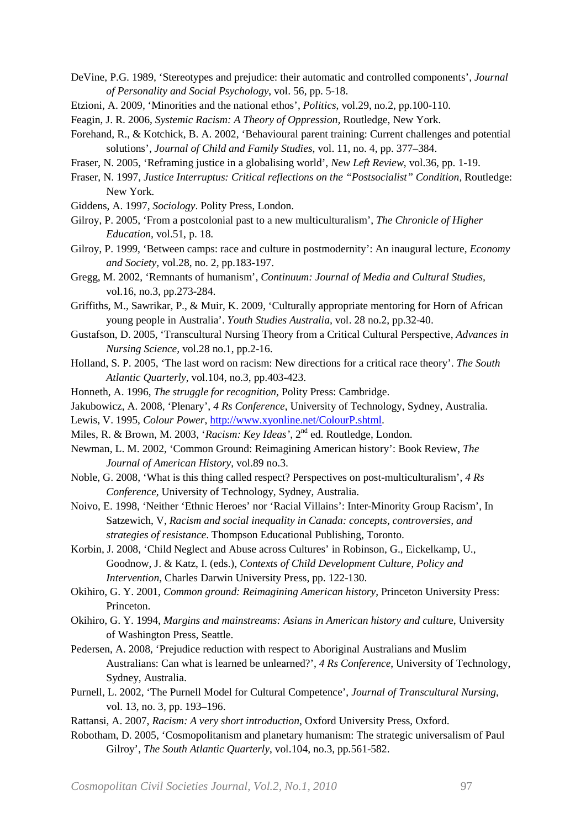- DeVine, P.G. 1989, 'Stereotypes and prejudice: their automatic and controlled components', *Journal of Personality and Social Psychology*, vol. 56, pp. 5-18.
- Etzioni, A. 2009, 'Minorities and the national ethos', *Politics*, vol.29, no.2, pp.100-110.
- Feagin, J. R. 2006, *Systemic Racism: A Theory of Oppression,* Routledge, New York.
- Forehand, R., & Kotchick, B. A. 2002, 'Behavioural parent training: Current challenges and potential solutions', *Journal of Child and Family Studies*, vol. 11, no. 4, pp. 377–384.
- Fraser, N. 2005, 'Reframing justice in a globalising world', *New Left Review*, vol.36, pp. 1-19.
- Fraser, N. 1997, *Justice Interruptus: Critical reflections on the "Postsocialist" Condition*, Routledge: New York.
- Giddens, A. 1997, *Sociology*. Polity Press, London.
- Gilroy, P. 2005, 'From a postcolonial past to a new multiculturalism', *The Chronicle of Higher Education,* vol.51, p. 18.
- Gilroy, P. 1999, 'Between camps: race and culture in postmodernity': An inaugural lecture, *Economy and Society,* vol.28, no. 2, pp.183-197.
- Gregg, M. 2002, 'Remnants of humanism', *Continuum: Journal of Media and Cultural Studies,*  vol.16, no.3, pp.273-284.
- Griffiths, M., Sawrikar, P., & Muir, K. 2009, 'Culturally appropriate mentoring for Horn of African young people in Australia'. *Youth Studies Australia,* vol. 28 no.2, pp.32-40.
- Gustafson, D. 2005, 'Transcultural Nursing Theory from a Critical Cultural Perspective, *Advances in Nursing Science,* vol.28 no.1, pp.2-16.
- Holland, S. P. 2005, 'The last word on racism: New directions for a critical race theory'. *The South Atlantic Quarterly*, vol.104, no.3, pp.403-423.
- Honneth, A. 1996, *The struggle for recognition,* Polity Press: Cambridge.
- Jakubowicz, A. 2008, 'Plenary', *4 Rs Conference*, University of Technology, Sydney, Australia.
- Lewis, V. 1995, *Colour Power*, [http://www.xyonline.net/ColourP.shtml.](http://www.xyonline.net/ColourP.shtml)
- Miles, R. & Brown, M. 2003, '*Racism: Key Ideas*', 2<sup>nd</sup> ed. Routledge, London.
- Newman, L. M. 2002, 'Common Ground: Reimagining American history': Book Review, *The Journal of American History*, vol.89 no.3.
- Noble, G. 2008, 'What is this thing called respect? Perspectives on post-multiculturalism', *4 Rs Conference*, University of Technology, Sydney, Australia.
- Noivo, E. 1998, 'Neither 'Ethnic Heroes' nor 'Racial Villains': Inter-Minority Group Racism', In Satzewich, V, *Racism and social inequality in Canada: concepts, controversies, and strategies of resistance*. Thompson Educational Publishing, Toronto.
- Korbin, J. 2008, 'Child Neglect and Abuse across Cultures' in Robinson, G., Eickelkamp, U., Goodnow, J. & Katz, I. (eds.), *Contexts of Child Development Culture, Policy and Intervention*, Charles Darwin University Press, pp. 122-130.
- Okihiro, G. Y. 2001, *Common ground: Reimagining American history*, Princeton University Press: Princeton.
- Okihiro, G. Y. 1994, *Margins and mainstreams: Asians in American history and cultur*e, University of Washington Press, Seattle.
- Pedersen, A. 2008, 'Prejudice reduction with respect to Aboriginal Australians and Muslim Australians: Can what is learned be unlearned?', *4 Rs Conference*, University of Technology, Sydney, Australia.
- Purnell, L. 2002, 'The Purnell Model for Cultural Competence', *Journal of Transcultural Nursing*, vol. 13, no. 3, pp. 193–196.
- Rattansi, A. 2007, *Racism: A very short introduction*, Oxford University Press, Oxford.
- Robotham, D. 2005, 'Cosmopolitanism and planetary humanism: The strategic universalism of Paul Gilroy', *The South Atlantic Quarterly*, vol.104, no.3, pp.561-582.